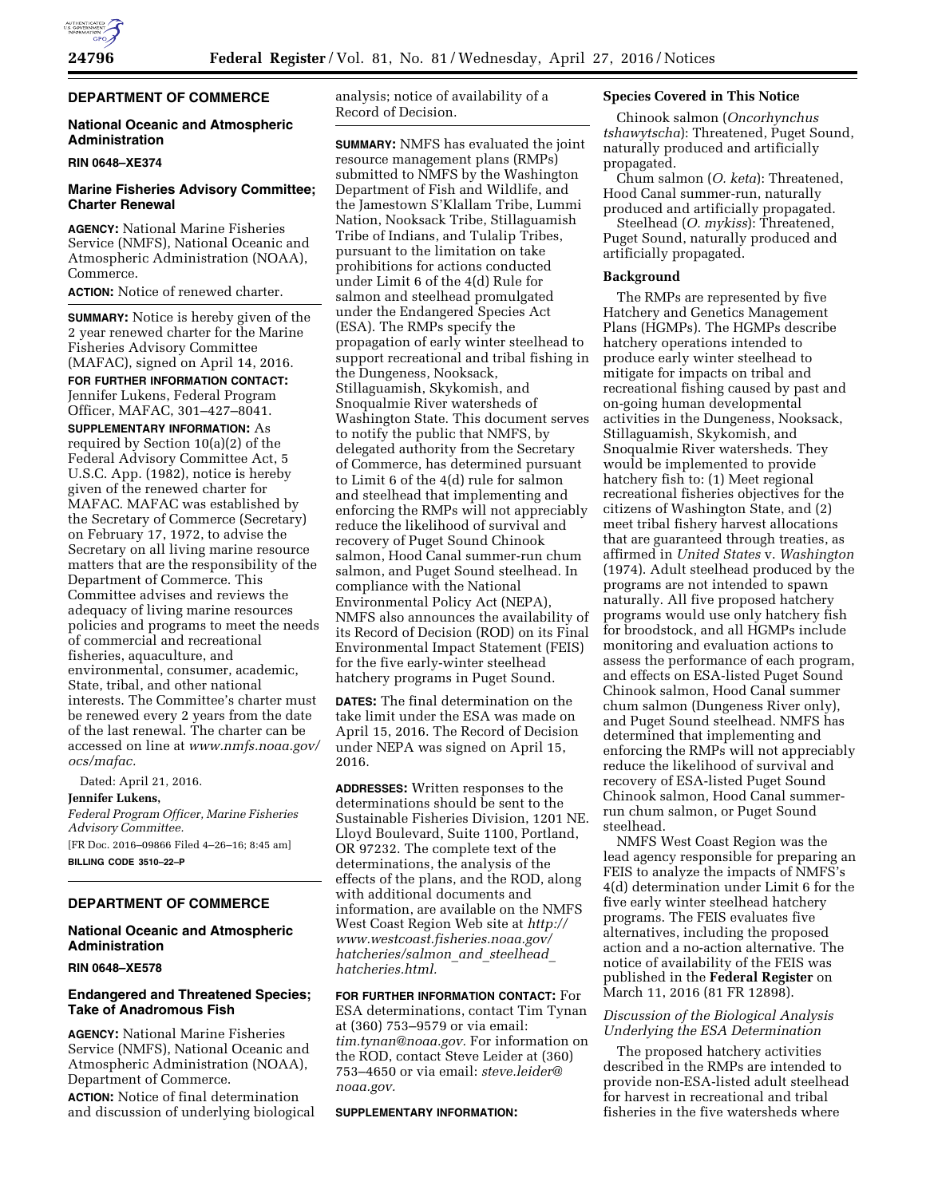

# **DEPARTMENT OF COMMERCE**

## **National Oceanic and Atmospheric Administration**

#### **RIN 0648–XE374**

## **Marine Fisheries Advisory Committee; Charter Renewal**

**AGENCY:** National Marine Fisheries Service (NMFS), National Oceanic and Atmospheric Administration (NOAA), Commerce.

**ACTION:** Notice of renewed charter.

**SUMMARY:** Notice is hereby given of the 2 year renewed charter for the Marine Fisheries Advisory Committee (MAFAC), signed on April 14, 2016.

**FOR FURTHER INFORMATION CONTACT:**  Jennifer Lukens, Federal Program Officer, MAFAC, 301–427–8041.

**SUPPLEMENTARY INFORMATION:** As required by Section 10(a)(2) of the Federal Advisory Committee Act, 5 U.S.C. App. (1982), notice is hereby given of the renewed charter for MAFAC. MAFAC was established by the Secretary of Commerce (Secretary) on February 17, 1972, to advise the Secretary on all living marine resource matters that are the responsibility of the Department of Commerce. This Committee advises and reviews the adequacy of living marine resources policies and programs to meet the needs of commercial and recreational fisheries, aquaculture, and environmental, consumer, academic, State, tribal, and other national interests. The Committee's charter must be renewed every 2 years from the date of the last renewal. The charter can be accessed on line at *[www.nmfs.noaa.gov/](http://www.nmfs.noaa.gov/ocs/mafac)  [ocs/mafac.](http://www.nmfs.noaa.gov/ocs/mafac)* 

Dated: April 21, 2016.

### **Jennifer Lukens,**

*Federal Program Officer, Marine Fisheries Advisory Committee.*  [FR Doc. 2016–09866 Filed 4–26–16; 8:45 am]

**BILLING CODE 3510–22–P** 

## **DEPARTMENT OF COMMERCE**

# **National Oceanic and Atmospheric Administration**

**RIN 0648–XE578** 

## **Endangered and Threatened Species; Take of Anadromous Fish**

**AGENCY:** National Marine Fisheries Service (NMFS), National Oceanic and Atmospheric Administration (NOAA), Department of Commerce.

**ACTION:** Notice of final determination and discussion of underlying biological analysis; notice of availability of a Record of Decision.

**SUMMARY:** NMFS has evaluated the joint resource management plans (RMPs) submitted to NMFS by the Washington Department of Fish and Wildlife, and the Jamestown S'Klallam Tribe, Lummi Nation, Nooksack Tribe, Stillaguamish Tribe of Indians, and Tulalip Tribes, pursuant to the limitation on take prohibitions for actions conducted under Limit 6 of the 4(d) Rule for salmon and steelhead promulgated under the Endangered Species Act (ESA). The RMPs specify the propagation of early winter steelhead to support recreational and tribal fishing in the Dungeness, Nooksack, Stillaguamish, Skykomish, and Snoqualmie River watersheds of Washington State. This document serves to notify the public that NMFS, by delegated authority from the Secretary of Commerce, has determined pursuant to Limit 6 of the 4(d) rule for salmon and steelhead that implementing and enforcing the RMPs will not appreciably reduce the likelihood of survival and recovery of Puget Sound Chinook salmon, Hood Canal summer-run chum salmon, and Puget Sound steelhead. In compliance with the National Environmental Policy Act (NEPA), NMFS also announces the availability of its Record of Decision (ROD) on its Final Environmental Impact Statement (FEIS) for the five early-winter steelhead hatchery programs in Puget Sound.

**DATES:** The final determination on the take limit under the ESA was made on April 15, 2016. The Record of Decision under NEPA was signed on April 15, 2016.

**ADDRESSES:** Written responses to the determinations should be sent to the Sustainable Fisheries Division, 1201 NE. Lloyd Boulevard, Suite 1100, Portland, OR 97232. The complete text of the determinations, the analysis of the effects of the plans, and the ROD, along with additional documents and information, are available on the NMFS West Coast Region Web site at *[http://](http://www.westcoast.fisheries.noaa.gov/hatcheries/salmon_and_steelhead_hatcheries.html) [www.westcoast.fisheries.noaa.gov/](http://www.westcoast.fisheries.noaa.gov/hatcheries/salmon_and_steelhead_hatcheries.html) [hatcheries/salmon](http://www.westcoast.fisheries.noaa.gov/hatcheries/salmon_and_steelhead_hatcheries.html)*\_*and*\_*steelhead*\_ *[hatcheries.html.](http://www.westcoast.fisheries.noaa.gov/hatcheries/salmon_and_steelhead_hatcheries.html)* 

## **FOR FURTHER INFORMATION CONTACT:** For ESA determinations, contact Tim Tynan at (360) 753–9579 or via email: *[tim.tynan@noaa.gov.](mailto:tim.tynan@noaa.gov)* For information on the ROD, contact Steve Leider at (360) 753–4650 or via email: *[steve.leider@](mailto:steve.leider@noaa.gov) [noaa.gov.](mailto:steve.leider@noaa.gov)*

#### **SUPPLEMENTARY INFORMATION:**

### **Species Covered in This Notice**

Chinook salmon (*Oncorhynchus tshawytscha*): Threatened, Puget Sound, naturally produced and artificially propagated.

Chum salmon (*O. keta*): Threatened, Hood Canal summer-run, naturally produced and artificially propagated.

Steelhead (*O. mykiss*): Threatened, Puget Sound, naturally produced and artificially propagated.

### **Background**

The RMPs are represented by five Hatchery and Genetics Management Plans (HGMPs). The HGMPs describe hatchery operations intended to produce early winter steelhead to mitigate for impacts on tribal and recreational fishing caused by past and on-going human developmental activities in the Dungeness, Nooksack, Stillaguamish, Skykomish, and Snoqualmie River watersheds. They would be implemented to provide hatchery fish to: (1) Meet regional recreational fisheries objectives for the citizens of Washington State, and (2) meet tribal fishery harvest allocations that are guaranteed through treaties, as affirmed in *United States* v. *Washington*  (1974). Adult steelhead produced by the programs are not intended to spawn naturally. All five proposed hatchery programs would use only hatchery fish for broodstock, and all HGMPs include monitoring and evaluation actions to assess the performance of each program, and effects on ESA-listed Puget Sound Chinook salmon, Hood Canal summer chum salmon (Dungeness River only), and Puget Sound steelhead. NMFS has determined that implementing and enforcing the RMPs will not appreciably reduce the likelihood of survival and recovery of ESA-listed Puget Sound Chinook salmon, Hood Canal summerrun chum salmon, or Puget Sound steelhead.

NMFS West Coast Region was the lead agency responsible for preparing an FEIS to analyze the impacts of NMFS's 4(d) determination under Limit 6 for the five early winter steelhead hatchery programs. The FEIS evaluates five alternatives, including the proposed action and a no-action alternative. The notice of availability of the FEIS was published in the **Federal Register** on March 11, 2016 (81 FR 12898).

### *Discussion of the Biological Analysis Underlying the ESA Determination*

The proposed hatchery activities described in the RMPs are intended to provide non-ESA-listed adult steelhead for harvest in recreational and tribal fisheries in the five watersheds where